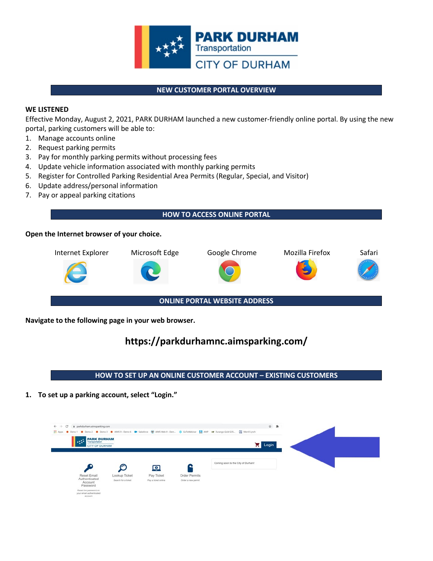

#### **NEW CUSTOMER PORTAL OVERVIEW**

#### **WE LISTENED**

Effective Monday, August 2, 2021, PARK DURHAM launched a new customer-friendly online portal. By using the new portal, parking customers will be able to:

- 1. Manage accounts online
- 2. Request parking permits
- 3. Pay for monthly parking permits without processing fees
- 4. Update vehicle information associated with monthly parking permits
- 5. Register for Controlled Parking Residential Area Permits (Regular, Special, and Visitor)
- 6. Update address/personal information
- 7. Pay or appeal parking citations

#### **HOW TO ACCESS ONLINE PORTAL**

#### **Open the Internet browser of your choice.**



**ONLINE PORTAL WEBSITE ADDRESS**

**Navigate to the following page in your web browser.**

# **https://parkdurhamnc.aimsparking.com/**

## **HOW TO SET UP AN ONLINE CUSTOMER ACCOUNT – EXISTING CUSTOMERS**

**1. To set up a parking account, select "Login."**

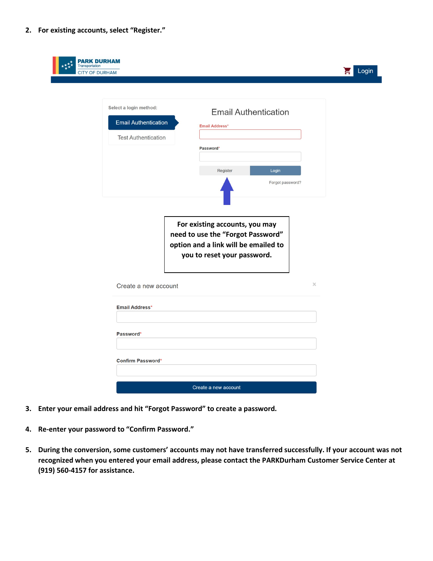**2. For existing accounts, select "Register."**

| <b>PARK DURHAM</b><br><b>Transportation</b><br><b>CITY OF DURHAM</b> |                                                                                     |                                                                                                                                            |                  | Login |
|----------------------------------------------------------------------|-------------------------------------------------------------------------------------|--------------------------------------------------------------------------------------------------------------------------------------------|------------------|-------|
|                                                                      | Select a login method:<br><b>Email Authentication</b><br><b>Test Authentication</b> | <b>Email Authentication</b><br><b>Email Address*</b><br>Password*<br>Register                                                              | Login            |       |
|                                                                      |                                                                                     | For existing accounts, you may<br>need to use the "Forgot Password"<br>option and a link will be emailed to<br>you to reset your password. | Forgot password? |       |
|                                                                      | Create a new account<br><b>Email Address*</b>                                       |                                                                                                                                            | $\times$         |       |
|                                                                      | Password*<br><b>Confirm Password*</b>                                               |                                                                                                                                            |                  |       |
|                                                                      |                                                                                     | Create a new account                                                                                                                       |                  |       |

- **3. Enter your email address and hit "Forgot Password" to create a password.**
- **4. Re-enter your password to "Confirm Password."**
- **5. During the conversion, some customers' accounts may not have transferred successfully. If your account was not recognized when you entered your email address, please contact the PARKDurham Customer Service Center at (919) 560-4157 for assistance.**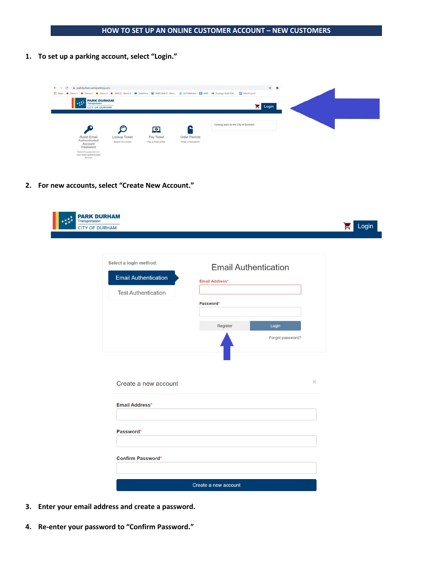**1. To set up a parking account, select "Login."**

| @ parkdurham.aimsparking.com<br>c<br>$\leftarrow$ $\rightarrow$             |                                      |                                   |                                     | El Apps Demo 1 Demo 2 Demo 3 AMS9 - Demo 6 De Salesforce C AMS Web 9 - Dem. St GoToWebinar EL AMP AZ Durango Gold G35 EL Memilityrch | ☆ 寿 |  |
|-----------------------------------------------------------------------------|--------------------------------------|-----------------------------------|-------------------------------------|--------------------------------------------------------------------------------------------------------------------------------------|-----|--|
| <b>PARK DURHAM</b><br><b>Called Transportation</b><br><b>CITY OF DURHAM</b> |                                      |                                   |                                     | $\frac{1}{2}$ Login                                                                                                                  |     |  |
|                                                                             | C                                    | 回                                 |                                     | Coming soon to the City of Durham!                                                                                                   |     |  |
| Reset Email<br>Authenticated<br>Account<br>Password                         | Lookup Ticket<br>Search for a ticket | Pay Ticket<br>Pay a ticket online | Order Permits<br>Order a new permit |                                                                                                                                      |     |  |
| Reset the password on<br>your email authenticated<br>account.               |                                      |                                   |                                     |                                                                                                                                      |     |  |

**2. For new accounts, select "Create New Account."**

| Transportation<br><b>CITY OF DURHAM</b> |                                                                                     |                                                      |                           |  |
|-----------------------------------------|-------------------------------------------------------------------------------------|------------------------------------------------------|---------------------------|--|
|                                         | Select a login method:<br><b>Email Authentication</b><br><b>Test Authentication</b> | <b>Email Authentication</b><br><b>Email Address*</b> |                           |  |
|                                         |                                                                                     | Password*<br>Register                                | Login<br>Forgot password? |  |
|                                         | Create a new account<br>Email Address*                                              |                                                      | $\times$                  |  |
|                                         | Password*                                                                           |                                                      |                           |  |
|                                         | Confirm Password*                                                                   | Create a new account                                 |                           |  |

- **3. Enter your email address and create a password.**
- **4. Re-enter your password to "Confirm Password."**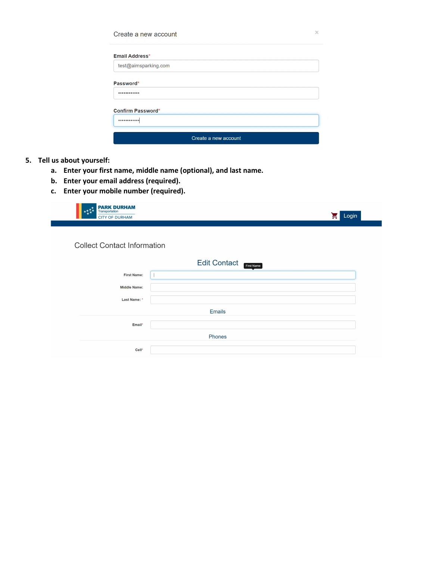| Create a new account     | $\times$ |
|--------------------------|----------|
| Email Address*           |          |
| test@aimsparking.com     |          |
| Password*                |          |
| $•••••••••••••••$        |          |
| <b>Confirm Password*</b> |          |
| $0 0 0 0 0 0 0 0 0 0 0$  |          |
| Create a new account     |          |

## **5. Tell us about yourself:**

- **a. Enter your first name, middle name (optional), and last name.**
- **b. Enter your email address (required).**
- **c. Enter your mobile number (required).**



#### **Collect Contact Information**

|                     | <b>Edit Contact</b><br>First Name |  |  |  |
|---------------------|-----------------------------------|--|--|--|
| <b>First Name:</b>  |                                   |  |  |  |
| <b>Middle Name:</b> |                                   |  |  |  |
| Last Name: *        |                                   |  |  |  |
|                     | <b>Emails</b>                     |  |  |  |
| Email*              |                                   |  |  |  |
|                     | Phones                            |  |  |  |
| Cell*               |                                   |  |  |  |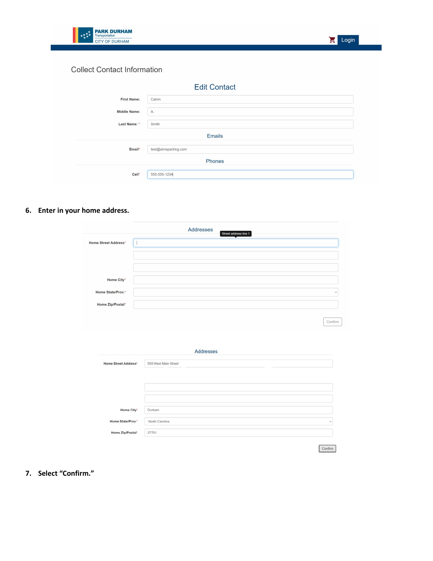

## **Collect Contact Information**

| <b>Edit Contact</b> |                      |  |  |  |  |  |
|---------------------|----------------------|--|--|--|--|--|
| <b>First Name:</b>  | Calvin               |  |  |  |  |  |
| <b>Middle Name:</b> | A.                   |  |  |  |  |  |
| Last Name: *        | Smith                |  |  |  |  |  |
|                     | <b>Emails</b>        |  |  |  |  |  |
| Email*              | test@aimsparking.com |  |  |  |  |  |
|                     | Phones               |  |  |  |  |  |
| Cell*               | 555-555-1234         |  |  |  |  |  |
|                     |                      |  |  |  |  |  |

# **6. Enter in your home address.**

|                             | Addresses<br>Street address line 1 |
|-----------------------------|------------------------------------|
| <b>Home Street Address*</b> |                                    |
|                             |                                    |
| Home City*                  |                                    |
| Home State/Prov.*           | $\checkmark$                       |
| Home Zip/Postal*            |                                    |

 $\begin{array}{c} \text{Confirm} \end{array}$ 

| <b>Home Street Address*</b> | 555 West Main Street |   |
|-----------------------------|----------------------|---|
|                             |                      |   |
|                             |                      |   |
|                             |                      |   |
|                             |                      |   |
|                             |                      |   |
|                             |                      |   |
|                             |                      |   |
| Home City*                  | Durham               |   |
|                             |                      |   |
|                             |                      |   |
| Home State/Prov."           | North Carolina       | w |
|                             |                      |   |
| Home Zip/Postal*            | 27701                |   |

 $\fbox{Confirm}$ 

# **7. Select "Confirm."**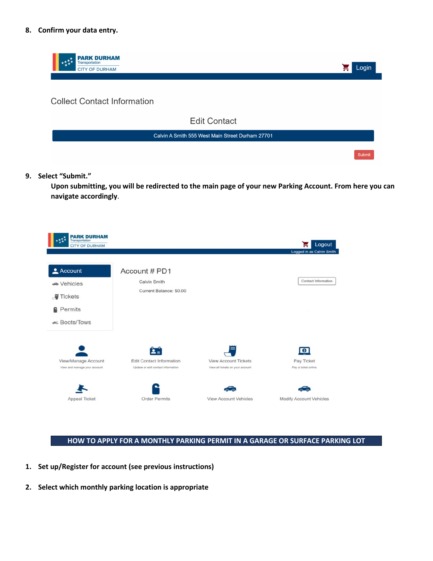#### **8. Confirm your data entry.**



**9. Select "Submit."**

**Upon submitting, you will be redirected to the main page of your new Parking Account. From here you can navigate accordingly**.

| <b>PARK DURHAM</b><br>Transportation<br><b>CITY OF DURHAM</b> |                                    |                                  | Logout                    |
|---------------------------------------------------------------|------------------------------------|----------------------------------|---------------------------|
|                                                               |                                    |                                  | Logged in as Calvin Smith |
| $\triangle$ Account                                           | Account # PD1                      |                                  |                           |
| <b>→</b> Vehicles                                             | Calvin Smith                       |                                  | Contact Information       |
| $\blacksquare$ Tickets                                        | Current Balance: \$0.00            |                                  |                           |
| <b>G</b> Permits                                              |                                    |                                  |                           |
| & Boots/Tows                                                  |                                    |                                  |                           |
|                                                               | 2.5                                |                                  | G)                        |
| View/Manage Account                                           | <b>Edit Contact Information</b>    | <b>View Account Tickets</b>      | Pay Ticket                |
| View and manage your account                                  | Update or edit contact information | View all tickets on your account | Pay a ticket online       |
|                                                               |                                    |                                  |                           |
| Appeal Ticket                                                 | <b>Order Permits</b>               | <b>View Account Vehicles</b>     | Modify Account Vehicles   |

## **HOW TO APPLY FOR A MONTHLY PARKING PERMIT IN A GARAGE OR SURFACE PARKING LOT**

- **1. Set up/Register for account (see previous instructions)**
- **2. Select which monthly parking location is appropriate**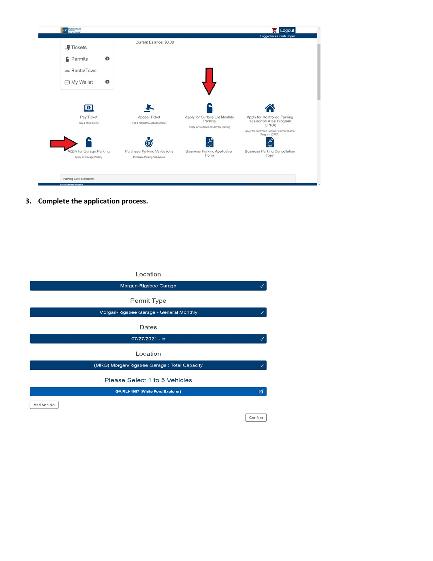| <b>J</b> Tickets                | Current Balance: \$0.00           |                                                  |                                                                 |
|---------------------------------|-----------------------------------|--------------------------------------------------|-----------------------------------------------------------------|
| $\bullet$<br><b>Permits</b>     |                                   |                                                  |                                                                 |
| & Boots/Tows                    |                                   |                                                  |                                                                 |
| $\bullet$<br><b>⊟</b> My Wallet |                                   |                                                  |                                                                 |
|                                 |                                   |                                                  |                                                                 |
| $\bullet$<br>Pay Ticket         | Appeal Ticket                     | Apply for Surface Lot Monthly                    | Apply for Controlled Parking                                    |
| Pay a ticket online             | File a request to appeal a ticket | Parking<br>Apply for Surface Lot Monthly Parking | Residential Area Program<br>(CPRA)                              |
|                                 |                                   |                                                  | Apply for Controlled Parking Residential Area<br>Program (CPRA) |
|                                 |                                   | <b>PDF</b>                                       | PDF                                                             |
| Apply for Garage Parking        | Purchase Parking Validations      | <b>Business Parking Application</b><br>Form      | <b>Business Parking Cancellation</b><br>Form                    |
| Apply for Garage Parking        | Purchase Parking Validations      |                                                  |                                                                 |
|                                 |                                   |                                                  |                                                                 |

**3. Complete the application process.**

| Location                                    |         |
|---------------------------------------------|---------|
| Morgan-Rigsbee Garage                       |         |
| Permit Type                                 |         |
| Morgan-Rigsbee Garage - General Monthly     | ✓       |
| Dates                                       |         |
| $07/27/2021 - \infty$                       |         |
| Location                                    |         |
| (MRG) Morgan/Rigsbee Garage: Total Capacity | ✓       |
| Please Select 1 to 5 Vehicles               |         |
| <b>GA RLH4997 (White Ford Explorer)</b>     | 図       |
| Add Vehicle                                 |         |
|                                             | Confirm |